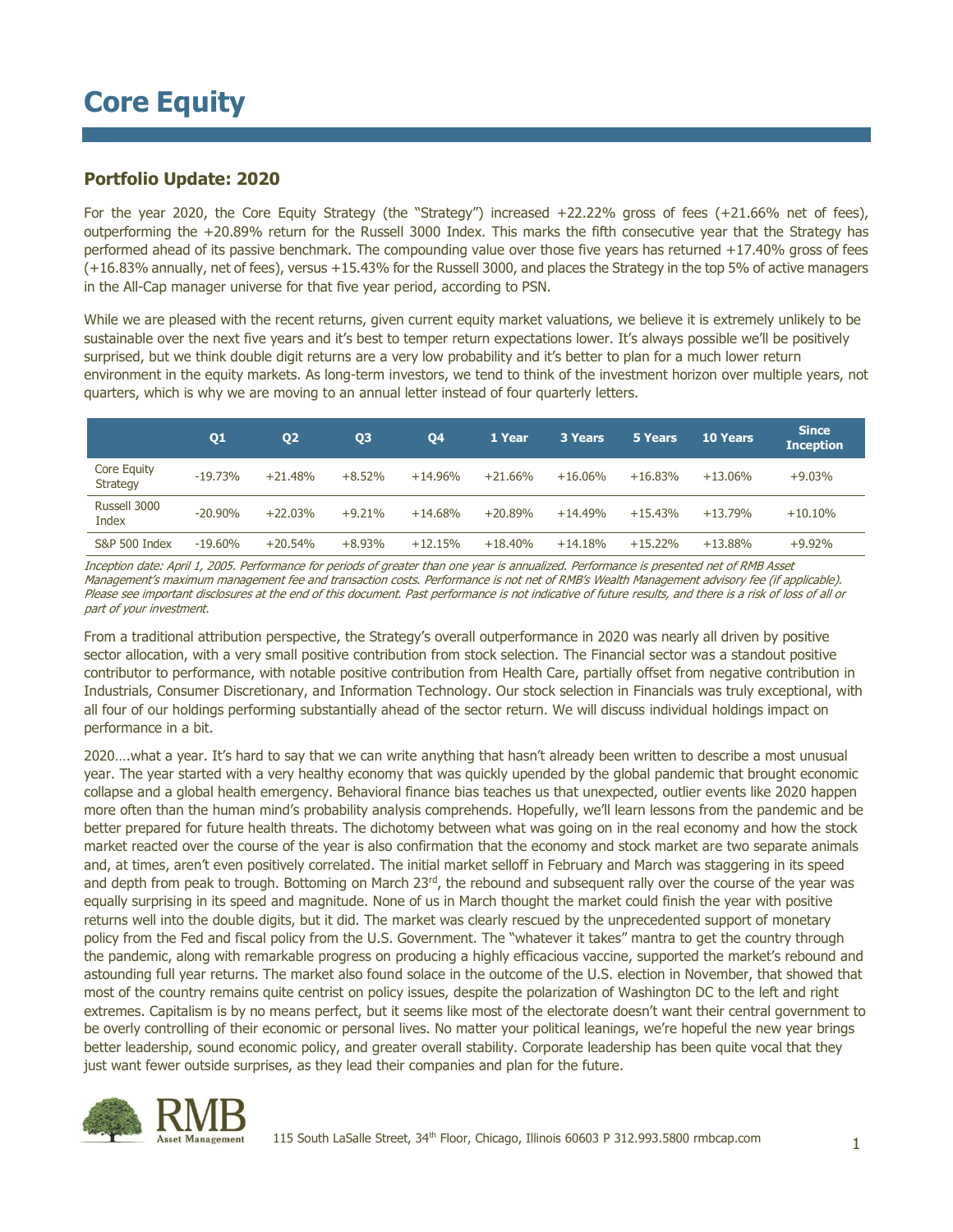### **Portfolio Update: 2020**

For the year 2020, the Core Equity Strategy (the "Strategy") increased +22.22% gross of fees (+21.66% net of fees), outperforming the +20.89% return for the Russell 3000 Index. This marks the fifth consecutive year that the Strategy has performed ahead of its passive benchmark. The compounding value over those five years has returned +17.40% gross of fees (+16.83% annually, net of fees), versus +15.43% for the Russell 3000, and places the Strategy in the top 5% of active managers in the All-Cap manager universe for that five year period, according to PSN.

While we are pleased with the recent returns, given current equity market valuations, we believe it is extremely unlikely to be sustainable over the next five years and it's best to temper return expectations lower. It's always possible we'll be positively surprised, but we think double digit returns are a very low probability and it's better to plan for a much lower return environment in the equity markets. As long-term investors, we tend to think of the investment horizon over multiple years, not quarters, which is why we are moving to an annual letter instead of four quarterly letters.

|                                | Q1         | Q <sub>2</sub> | Q <sub>3</sub> | Q4        | 1 Year    | <b>3 Years</b> | 5 Years   | <b>10 Years</b> | <b>Since</b><br><b>Inception</b> |
|--------------------------------|------------|----------------|----------------|-----------|-----------|----------------|-----------|-----------------|----------------------------------|
| Core Equity<br><b>Strategy</b> | $-19.73%$  | $+21.48%$      | $+8.52%$       | $+14.96%$ | $+21.66%$ | $+16.06\%$     | $+16.83%$ | $+13.06\%$      | $+9.03%$                         |
| Russell 3000<br>Index          | $-20.90\%$ | $+22.03%$      | $+9.21%$       | $+14.68%$ | $+20.89%$ | $+14.49%$      | $+15.43%$ | $+13.79%$       | $+10.10%$                        |
| <b>S&amp;P 500 Index</b>       | $-19.60%$  | $+20.54%$      | $+8.93%$       | $+12.15%$ | $+18.40%$ | $+14.18%$      | $+15.22%$ | $+13.88\%$      | $+9.92%$                         |

Inception date: April 1, 2005. Performance for periods of greater than one year is annualized. Performance is presented net of RMB Asset Management's maximum management fee and transaction costs. Performance is not net of RMB's Wealth Management advisory fee (if applicable). Please see important disclosures at the end of this document. Past performance is not indicative of future results, and there is a risk of loss of all or part of your investment.

From a traditional attribution perspective, the Strategy's overall outperformance in 2020 was nearly all driven by positive sector allocation, with a very small positive contribution from stock selection. The Financial sector was a standout positive contributor to performance, with notable positive contribution from Health Care, partially offset from negative contribution in Industrials, Consumer Discretionary, and Information Technology. Our stock selection in Financials was truly exceptional, with all four of our holdings performing substantially ahead of the sector return. We will discuss individual holdings impact on performance in a bit.

2020….what a year. It's hard to say that we can write anything that hasn't already been written to describe a most unusual year. The year started with a very healthy economy that was quickly upended by the global pandemic that brought economic collapse and a global health emergency. Behavioral finance bias teaches us that unexpected, outlier events like 2020 happen more often than the human mind's probability analysis comprehends. Hopefully, we'll learn lessons from the pandemic and be better prepared for future health threats. The dichotomy between what was going on in the real economy and how the stock market reacted over the course of the year is also confirmation that the economy and stock market are two separate animals and, at times, aren't even positively correlated. The initial market selloff in February and March was staggering in its speed and depth from peak to trough. Bottoming on March 23<sup>rd</sup>, the rebound and subsequent rally over the course of the year was equally surprising in its speed and magnitude. None of us in March thought the market could finish the year with positive returns well into the double digits, but it did. The market was clearly rescued by the unprecedented support of monetary policy from the Fed and fiscal policy from the U.S. Government. The "whatever it takes" mantra to get the country through the pandemic, along with remarkable progress on producing a highly efficacious vaccine, supported the market's rebound and astounding full year returns. The market also found solace in the outcome of the U.S. election in November, that showed that most of the country remains quite centrist on policy issues, despite the polarization of Washington DC to the left and right extremes. Capitalism is by no means perfect, but it seems like most of the electorate doesn't want their central government to be overly controlling of their economic or personal lives. No matter your political leanings, we're hopeful the new year brings better leadership, sound economic policy, and greater overall stability. Corporate leadership has been quite vocal that they just want fewer outside surprises, as they lead their companies and plan for the future.

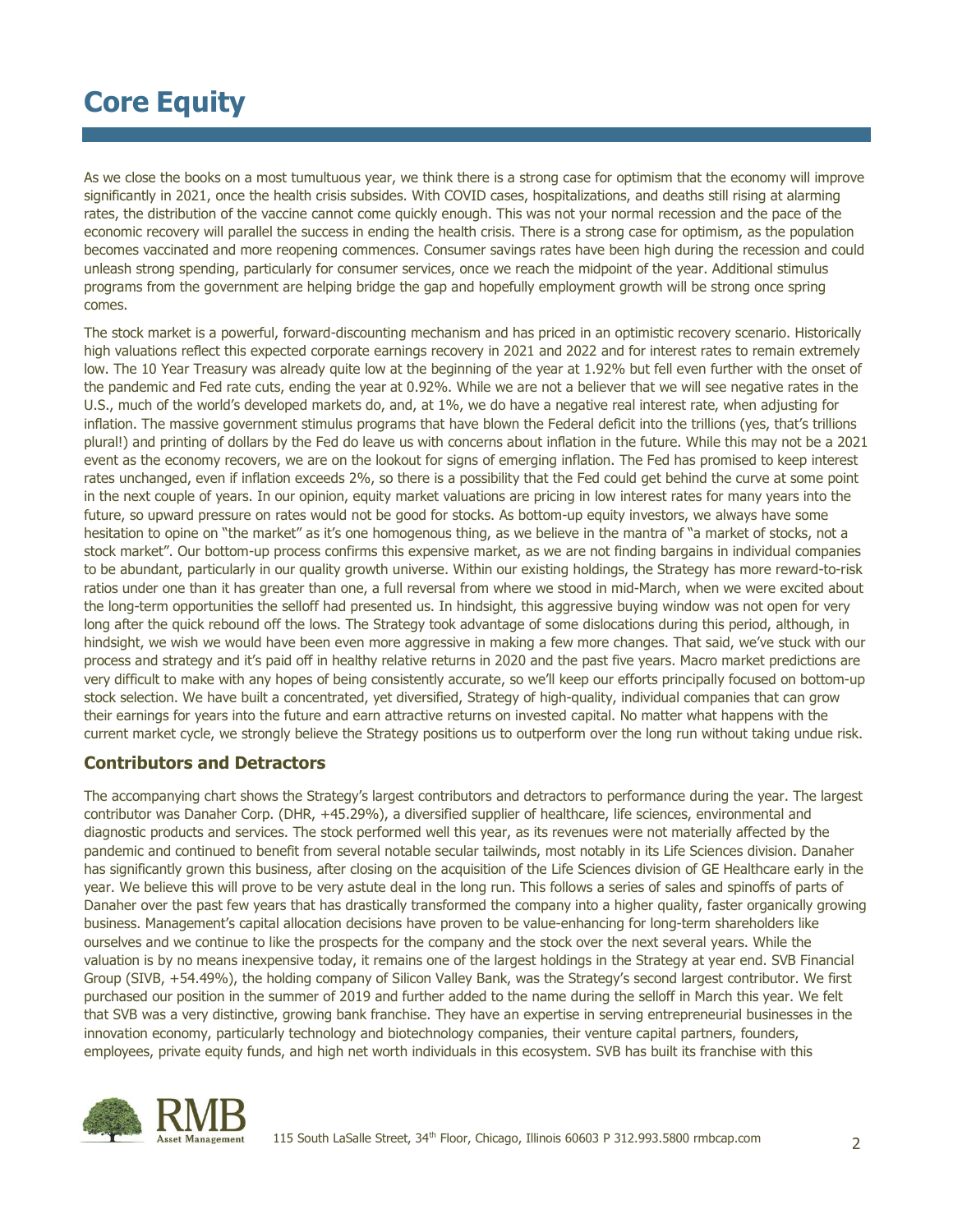As we close the books on a most tumultuous year, we think there is a strong case for optimism that the economy will improve significantly in 2021, once the health crisis subsides. With COVID cases, hospitalizations, and deaths still rising at alarming rates, the distribution of the vaccine cannot come quickly enough. This was not your normal recession and the pace of the economic recovery will parallel the success in ending the health crisis. There is a strong case for optimism, as the population becomes vaccinated and more reopening commences. Consumer savings rates have been high during the recession and could unleash strong spending, particularly for consumer services, once we reach the midpoint of the year. Additional stimulus programs from the government are helping bridge the gap and hopefully employment growth will be strong once spring comes.

The stock market is a powerful, forward-discounting mechanism and has priced in an optimistic recovery scenario. Historically high valuations reflect this expected corporate earnings recovery in 2021 and 2022 and for interest rates to remain extremely low. The 10 Year Treasury was already quite low at the beginning of the year at 1.92% but fell even further with the onset of the pandemic and Fed rate cuts, ending the year at 0.92%. While we are not a believer that we will see negative rates in the U.S., much of the world's developed markets do, and, at 1%, we do have a negative real interest rate, when adjusting for inflation. The massive government stimulus programs that have blown the Federal deficit into the trillions (yes, that's trillions plural!) and printing of dollars by the Fed do leave us with concerns about inflation in the future. While this may not be a 2021 event as the economy recovers, we are on the lookout for signs of emerging inflation. The Fed has promised to keep interest rates unchanged, even if inflation exceeds 2%, so there is a possibility that the Fed could get behind the curve at some point in the next couple of years. In our opinion, equity market valuations are pricing in low interest rates for many years into the future, so upward pressure on rates would not be good for stocks. As bottom-up equity investors, we always have some hesitation to opine on "the market" as it's one homogenous thing, as we believe in the mantra of "a market of stocks, not a stock market". Our bottom-up process confirms this expensive market, as we are not finding bargains in individual companies to be abundant, particularly in our quality growth universe. Within our existing holdings, the Strategy has more reward-to-risk ratios under one than it has greater than one, a full reversal from where we stood in mid-March, when we were excited about the long-term opportunities the selloff had presented us. In hindsight, this aggressive buying window was not open for very long after the quick rebound off the lows. The Strategy took advantage of some dislocations during this period, although, in hindsight, we wish we would have been even more aggressive in making a few more changes. That said, we've stuck with our process and strategy and it's paid off in healthy relative returns in 2020 and the past five years. Macro market predictions are very difficult to make with any hopes of being consistently accurate, so we'll keep our efforts principally focused on bottom-up stock selection. We have built a concentrated, yet diversified, Strategy of high-quality, individual companies that can grow their earnings for years into the future and earn attractive returns on invested capital. No matter what happens with the current market cycle, we strongly believe the Strategy positions us to outperform over the long run without taking undue risk.

### **Contributors and Detractors**

The accompanying chart shows the Strategy's largest contributors and detractors to performance during the year. The largest contributor was Danaher Corp. (DHR, +45.29%), a diversified supplier of healthcare, life sciences, environmental and diagnostic products and services. The stock performed well this year, as its revenues were not materially affected by the pandemic and continued to benefit from several notable secular tailwinds, most notably in its Life Sciences division. Danaher has significantly grown this business, after closing on the acquisition of the Life Sciences division of GE Healthcare early in the year. We believe this will prove to be very astute deal in the long run. This follows a series of sales and spinoffs of parts of Danaher over the past few years that has drastically transformed the company into a higher quality, faster organically growing business. Management's capital allocation decisions have proven to be value-enhancing for long-term shareholders like ourselves and we continue to like the prospects for the company and the stock over the next several years. While the valuation is by no means inexpensive today, it remains one of the largest holdings in the Strategy at year end. SVB Financial Group (SIVB, +54.49%), the holding company of Silicon Valley Bank, was the Strategy's second largest contributor. We first purchased our position in the summer of 2019 and further added to the name during the selloff in March this year. We felt that SVB was a very distinctive, growing bank franchise. They have an expertise in serving entrepreneurial businesses in the innovation economy, particularly technology and biotechnology companies, their venture capital partners, founders, employees, private equity funds, and high net worth individuals in this ecosystem. SVB has built its franchise with this

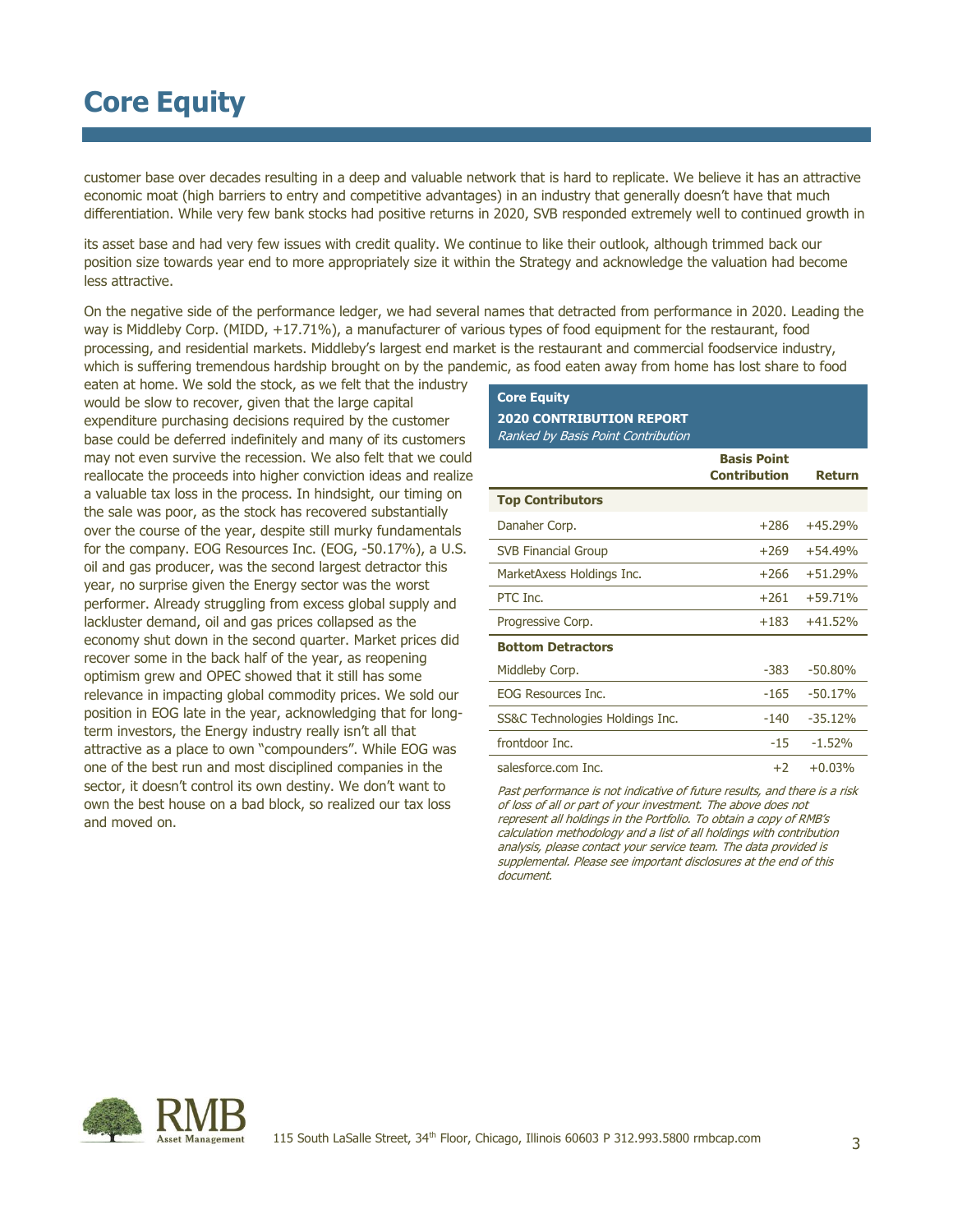customer base over decades resulting in a deep and valuable network that is hard to replicate. We believe it has an attractive economic moat (high barriers to entry and competitive advantages) in an industry that generally doesn't have that much differentiation. While very few bank stocks had positive returns in 2020, SVB responded extremely well to continued growth in

its asset base and had very few issues with credit quality. We continue to like their outlook, although trimmed back our position size towards year end to more appropriately size it within the Strategy and acknowledge the valuation had become less attractive.

On the negative side of the performance ledger, we had several names that detracted from performance in 2020. Leading the way is Middleby Corp. (MIDD, +17.71%), a manufacturer of various types of food equipment for the restaurant, food processing, and residential markets. Middleby's largest end market is the restaurant and commercial foodservice industry, which is suffering tremendous hardship brought on by the pandemic, as food eaten away from home has lost share to food

eaten at home. We sold the stock, as we felt that the industry would be slow to recover, given that the large capital expenditure purchasing decisions required by the customer base could be deferred indefinitely and many of its customers may not even survive the recession. We also felt that we could reallocate the proceeds into higher conviction ideas and realize a valuable tax loss in the process. In hindsight, our timing on the sale was poor, as the stock has recovered substantially over the course of the year, despite still murky fundamentals for the company. EOG Resources Inc. (EOG, -50.17%), a U.S. oil and gas producer, was the second largest detractor this year, no surprise given the Energy sector was the worst performer. Already struggling from excess global supply and lackluster demand, oil and gas prices collapsed as the economy shut down in the second quarter. Market prices did recover some in the back half of the year, as reopening optimism grew and OPEC showed that it still has some relevance in impacting global commodity prices. We sold our position in EOG late in the year, acknowledging that for longterm investors, the Energy industry really isn't all that attractive as a place to own "compounders". While EOG was one of the best run and most disciplined companies in the sector, it doesn't control its own destiny. We don't want to own the best house on a bad block, so realized our tax loss and moved on.

## **Core Equity 2020 CONTRIBUTION REPORT** Ranked by Basis Point Contribution

|                                 | <b>Basis Point</b><br><b>Contribution</b> | Return    |
|---------------------------------|-------------------------------------------|-----------|
| <b>Top Contributors</b>         |                                           |           |
| Danaher Corp.                   | $+286$                                    | $+45.29%$ |
| <b>SVB Financial Group</b>      | $+269$                                    | $+54.49%$ |
| MarketAxess Holdings Inc.       | $+266$                                    | $+51.29%$ |
| PTC Inc.                        | $+261$                                    | $+59.71%$ |
| Progressive Corp.               | +183                                      | $+41.52%$ |
| <b>Bottom Detractors</b>        |                                           |           |
| Middleby Corp.                  | $-383$                                    | $-50.80%$ |
| <b>FOG Resources Inc.</b>       | $-165$                                    | $-50.17%$ |
| SS&C Technologies Holdings Inc. | $-140$                                    | $-35.12%$ |
| frontdoor Inc.                  | $-15$                                     | $-1.52%$  |
| salesforce.com Inc.             | $+2$                                      | $+0.03%$  |

Past performance is not indicative of future results, and there is a risk of loss of all or part of your investment. The above does not represent all holdings in the Portfolio. To obtain a copy of RMB's calculation methodology and a list of all holdings with contribution analysis, please contact your service team. The data provided is supplemental. Please see important disclosures at the end of this document.

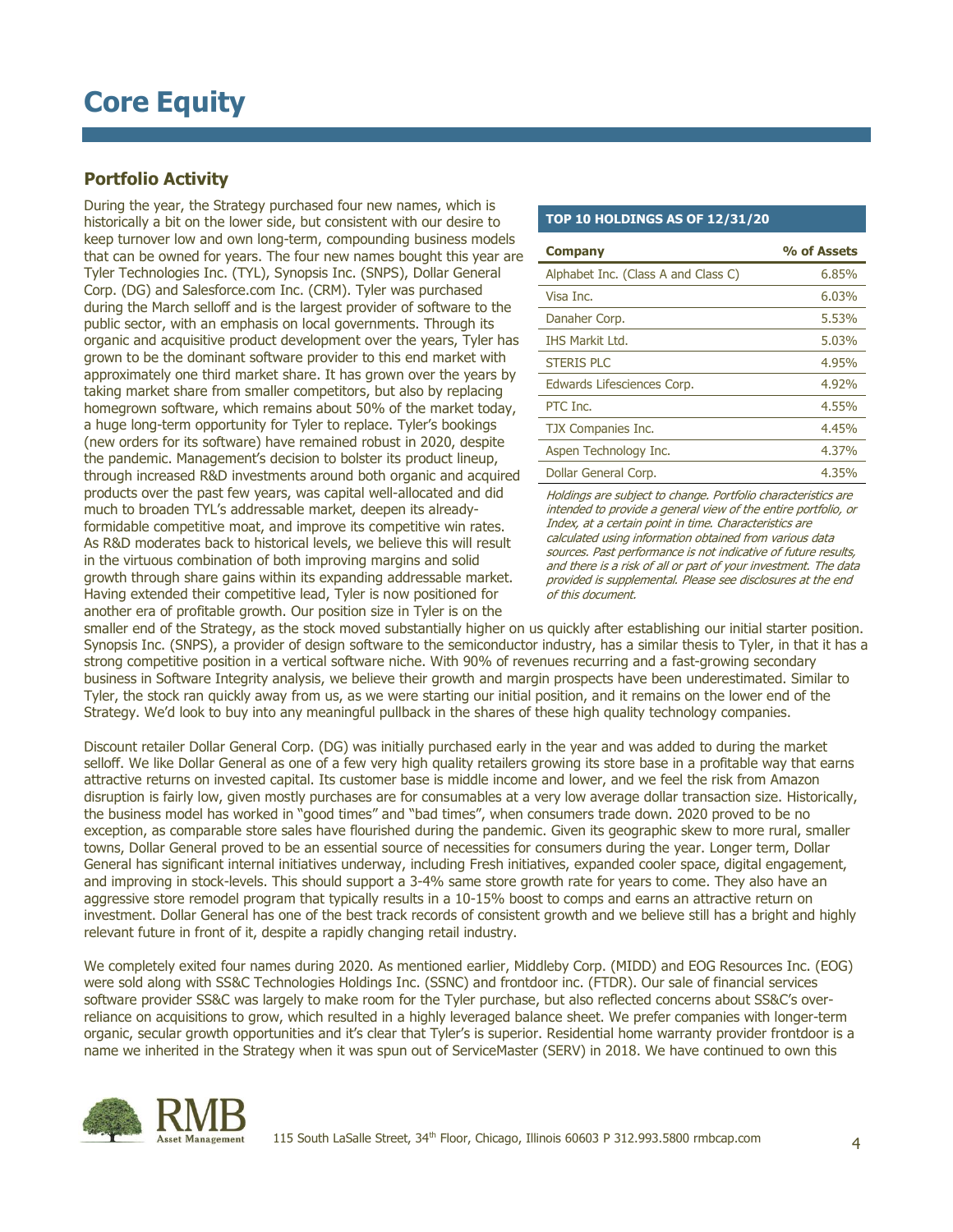## **Portfolio Activity**

During the year, the Strategy purchased four new names, which is historically a bit on the lower side, but consistent with our desire to keep turnover low and own long-term, compounding business models that can be owned for years. The four new names bought this year are Tyler Technologies Inc. (TYL), Synopsis Inc. (SNPS), Dollar General Corp. (DG) and Salesforce.com Inc. (CRM). Tyler was purchased during the March selloff and is the largest provider of software to the public sector, with an emphasis on local governments. Through its organic and acquisitive product development over the years, Tyler has grown to be the dominant software provider to this end market with approximately one third market share. It has grown over the years by taking market share from smaller competitors, but also by replacing homegrown software, which remains about 50% of the market today, a huge long-term opportunity for Tyler to replace. Tyler's bookings (new orders for its software) have remained robust in 2020, despite the pandemic. Management's decision to bolster its product lineup, through increased R&D investments around both organic and acquired products over the past few years, was capital well-allocated and did much to broaden TYL's addressable market, deepen its alreadyformidable competitive moat, and improve its competitive win rates. As R&D moderates back to historical levels, we believe this will result in the virtuous combination of both improving margins and solid growth through share gains within its expanding addressable market. Having extended their competitive lead, Tyler is now positioned for another era of profitable growth. Our position size in Tyler is on the

#### **TOP 10 HOLDINGS AS OF 12/31/20**

| <b>Company</b>                      | % of Assets |
|-------------------------------------|-------------|
| Alphabet Inc. (Class A and Class C) | 6,85%       |
| Visa Inc.                           | 6.03%       |
| Danaher Corp.                       | 5.53%       |
| <b>THS Markit Ltd.</b>              | 5.03%       |
| <b>STERIS PLC</b>                   | 4.95%       |
| Edwards Lifesciences Corp.          | 4.92%       |
| PTC Inc.                            | 4.55%       |
| TJX Companies Inc.                  | 4,45%       |
| Aspen Technology Inc.               | 4.37%       |
| Dollar General Corp.                | 4.35%       |

Holdings are subject to change. Portfolio characteristics are intended to provide a general view of the entire portfolio, or Index, at a certain point in time. Characteristics are calculated using information obtained from various data sources. Past performance is not indicative of future results, and there is a risk of all or part of your investment. The data provided is supplemental. Please see disclosures at the end of this document.

smaller end of the Strategy, as the stock moved substantially higher on us quickly after establishing our initial starter position. Synopsis Inc. (SNPS), a provider of design software to the semiconductor industry, has a similar thesis to Tyler, in that it has a strong competitive position in a vertical software niche. With 90% of revenues recurring and a fast-growing secondary business in Software Integrity analysis, we believe their growth and margin prospects have been underestimated. Similar to Tyler, the stock ran quickly away from us, as we were starting our initial position, and it remains on the lower end of the Strategy. We'd look to buy into any meaningful pullback in the shares of these high quality technology companies.

Discount retailer Dollar General Corp. (DG) was initially purchased early in the year and was added to during the market selloff. We like Dollar General as one of a few very high quality retailers growing its store base in a profitable way that earns attractive returns on invested capital. Its customer base is middle income and lower, and we feel the risk from Amazon disruption is fairly low, given mostly purchases are for consumables at a very low average dollar transaction size. Historically, the business model has worked in "good times" and "bad times", when consumers trade down. 2020 proved to be no exception, as comparable store sales have flourished during the pandemic. Given its geographic skew to more rural, smaller towns, Dollar General proved to be an essential source of necessities for consumers during the year. Longer term, Dollar General has significant internal initiatives underway, including Fresh initiatives, expanded cooler space, digital engagement, and improving in stock-levels. This should support a 3-4% same store growth rate for years to come. They also have an aggressive store remodel program that typically results in a 10-15% boost to comps and earns an attractive return on investment. Dollar General has one of the best track records of consistent growth and we believe still has a bright and highly relevant future in front of it, despite a rapidly changing retail industry.

We completely exited four names during 2020. As mentioned earlier, Middleby Corp. (MIDD) and EOG Resources Inc. (EOG) were sold along with SS&C Technologies Holdings Inc. (SSNC) and frontdoor inc. (FTDR). Our sale of financial services software provider SS&C was largely to make room for the Tyler purchase, but also reflected concerns about SS&C's overreliance on acquisitions to grow, which resulted in a highly leveraged balance sheet. We prefer companies with longer-term organic, secular growth opportunities and it's clear that Tyler's is superior. Residential home warranty provider frontdoor is a name we inherited in the Strategy when it was spun out of ServiceMaster (SERV) in 2018. We have continued to own this

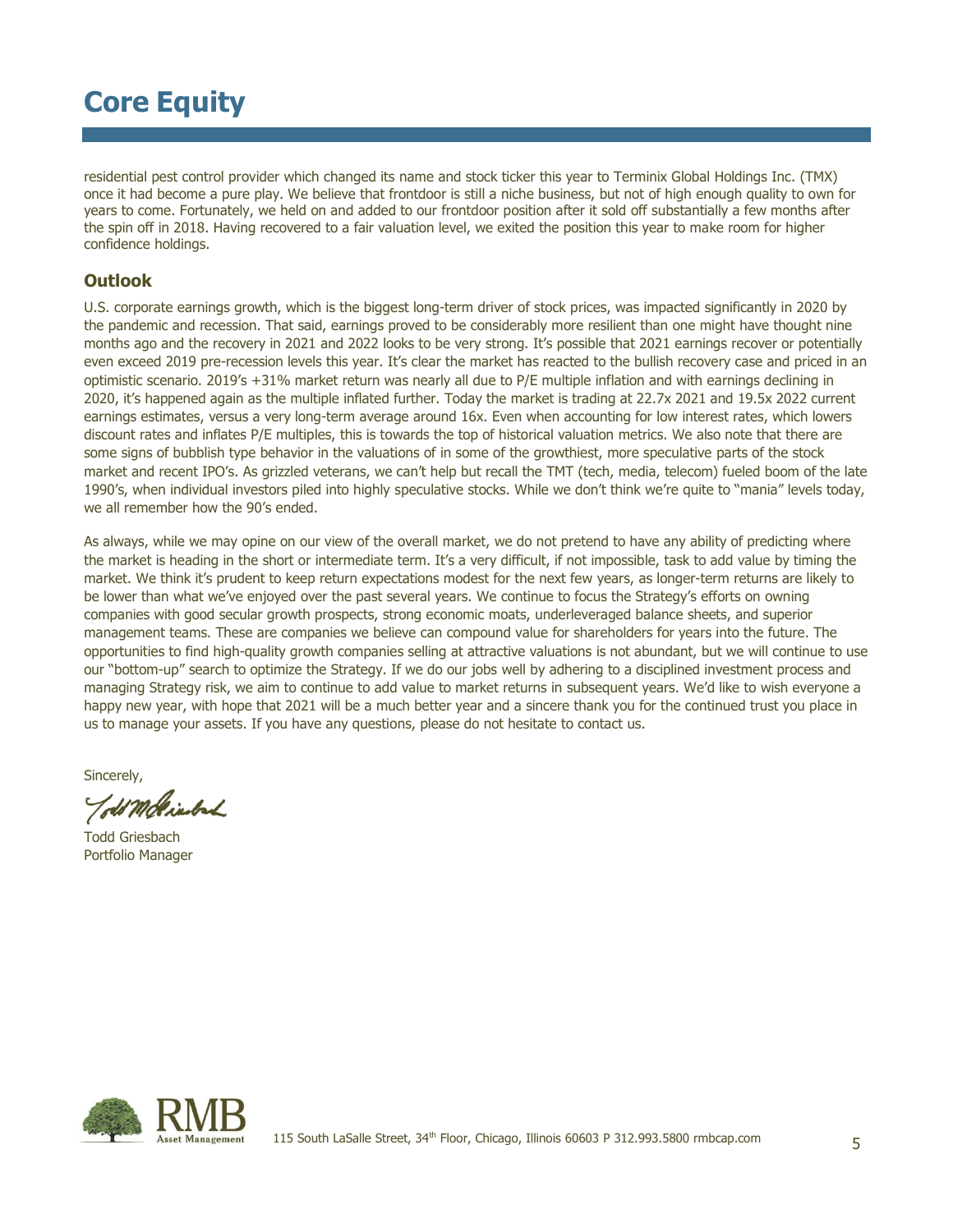residential pest control provider which changed its name and stock ticker this year to Terminix Global Holdings Inc. (TMX) once it had become a pure play. We believe that frontdoor is still a niche business, but not of high enough quality to own for years to come. Fortunately, we held on and added to our frontdoor position after it sold off substantially a few months after the spin off in 2018. Having recovered to a fair valuation level, we exited the position this year to make room for higher confidence holdings.

### **Outlook**

U.S. corporate earnings growth, which is the biggest long-term driver of stock prices, was impacted significantly in 2020 by the pandemic and recession. That said, earnings proved to be considerably more resilient than one might have thought nine months ago and the recovery in 2021 and 2022 looks to be very strong. It's possible that 2021 earnings recover or potentially even exceed 2019 pre-recession levels this year. It's clear the market has reacted to the bullish recovery case and priced in an optimistic scenario. 2019's +31% market return was nearly all due to P/E multiple inflation and with earnings declining in 2020, it's happened again as the multiple inflated further. Today the market is trading at 22.7x 2021 and 19.5x 2022 current earnings estimates, versus a very long-term average around 16x. Even when accounting for low interest rates, which lowers discount rates and inflates P/E multiples, this is towards the top of historical valuation metrics. We also note that there are some signs of bubblish type behavior in the valuations of in some of the growthiest, more speculative parts of the stock market and recent IPO's. As grizzled veterans, we can't help but recall the TMT (tech, media, telecom) fueled boom of the late 1990's, when individual investors piled into highly speculative stocks. While we don't think we're quite to "mania" levels today, we all remember how the 90's ended.

As always, while we may opine on our view of the overall market, we do not pretend to have any ability of predicting where the market is heading in the short or intermediate term. It's a very difficult, if not impossible, task to add value by timing the market. We think it's prudent to keep return expectations modest for the next few years, as longer-term returns are likely to be lower than what we've enjoyed over the past several years. We continue to focus the Strategy's efforts on owning companies with good secular growth prospects, strong economic moats, underleveraged balance sheets, and superior management teams. These are companies we believe can compound value for shareholders for years into the future. The opportunities to find high-quality growth companies selling at attractive valuations is not abundant, but we will continue to use our "bottom-up" search to optimize the Strategy. If we do our jobs well by adhering to a disciplined investment process and managing Strategy risk, we aim to continue to add value to market returns in subsequent years. We'd like to wish everyone a happy new year, with hope that 2021 will be a much better year and a sincere thank you for the continued trust you place in us to manage your assets. If you have any questions, please do not hesitate to contact us.

Sincerely,

Told Moltierbach

Todd Griesbach Portfolio Manager

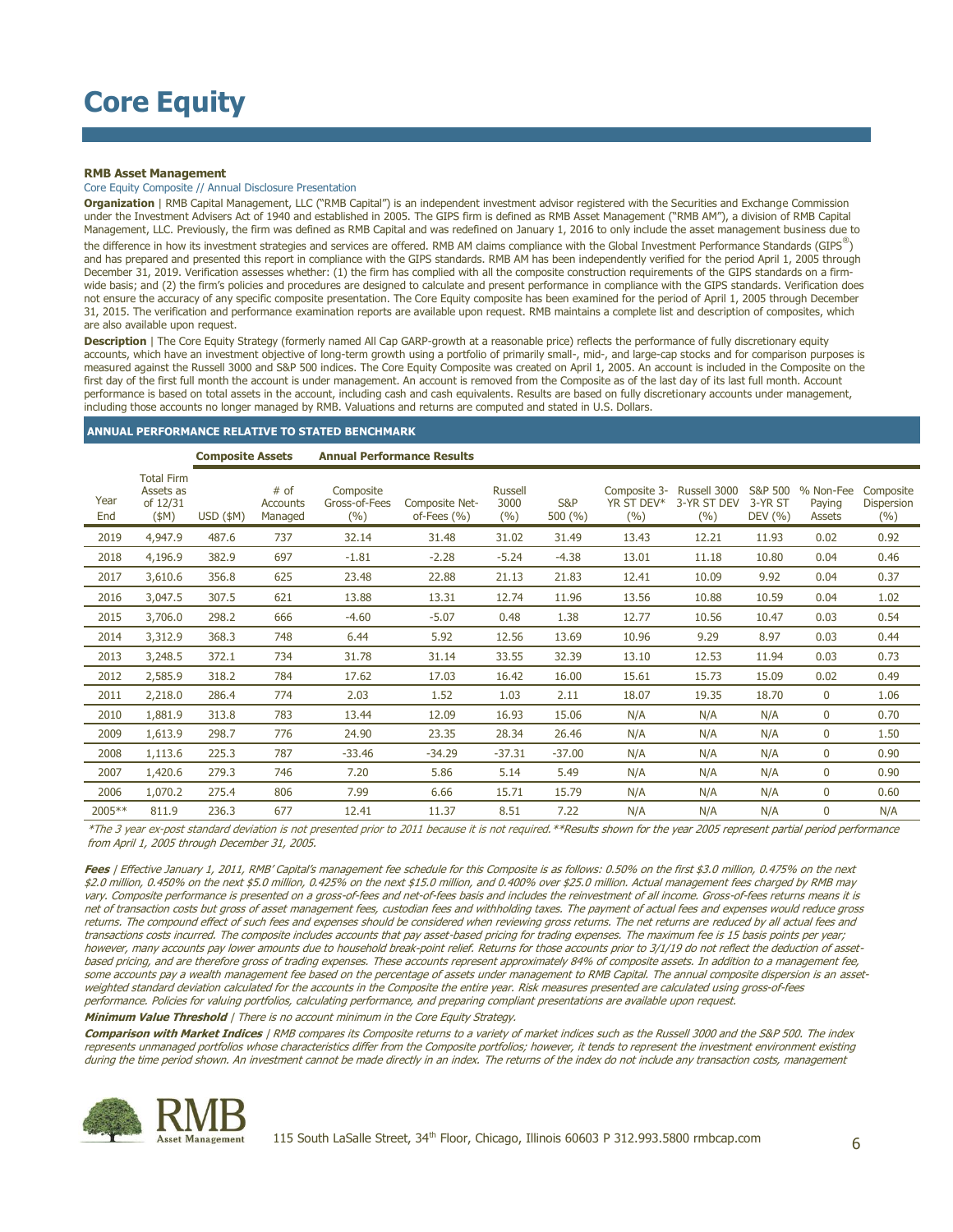#### **RMB Asset Management**

#### Core Equity Composite // Annual Disclosure Presentation

**Organization** | RMB Capital Management, LLC ("RMB Capital") is an independent investment advisor registered with the Securities and Exchange Commission under the Investment Advisers Act of 1940 and established in 2005. The GIPS firm is defined as RMB Asset Management ("RMB AM"), a division of RMB Capital Management, LLC. Previously, the firm was defined as RMB Capital and was redefined on January 1, 2016 to only include the asset management business due to the difference in how its investment strategies and services are offered. RMB AM claims compliance with the Global Investment Performance Standards (GIPS®) and has prepared and presented this report in compliance with the GIPS standards. RMB AM has been independently verified for the period April 1, 2005 through December 31, 2019. Verification assesses whether: (1) the firm has complied with all the composite construction requirements of the GIPS standards on a firmwide basis; and (2) the firm's policies and procedures are designed to calculate and present performance in compliance with the GIPS standards. Verification does not ensure the accuracy of any specific composite presentation. The Core Equity composite has been examined for the period of April 1, 2005 through December 31, 2015. The verification and performance examination reports are available upon request. RMB maintains a complete list and description of composites, which are also available upon request.

**Description** | The Core Equity Strategy (formerly named All Cap GARP-growth at a reasonable price) reflects the performance of fully discretionary equity accounts, which have an investment objective of long-term growth using a portfolio of primarily small-, mid-, and large-cap stocks and for comparison purposes is measured against the Russell 3000 and S&P 500 indices. The Core Equity Composite was created on April 1, 2005. An account is included in the Composite on the first day of the first full month the account is under management. An account is removed from the Composite as of the last day of its last full month. Account performance is based on total assets in the account, including cash and cash equivalents. Results are based on fully discretionary accounts under management, including those accounts no longer managed by RMB. Valuations and returns are computed and stated in U.S. Dollars.

#### **ANNUAL PERFORMANCE RELATIVE TO STATED BENCHMARK**

**Composite Assets Annual Performance Results**

|             |                                                       | <b>COMPOSILE ASSELS</b> |                                    | Alliludi Periorilidike Results    |                                   |                               |                |                                      |                                    |                                          |                               |                                |
|-------------|-------------------------------------------------------|-------------------------|------------------------------------|-----------------------------------|-----------------------------------|-------------------------------|----------------|--------------------------------------|------------------------------------|------------------------------------------|-------------------------------|--------------------------------|
| Year<br>End | <b>Total Firm</b><br>Assets as<br>of 12/31<br>$(\$M)$ | $USD$ (\$M)             | # of<br><b>Accounts</b><br>Managed | Composite<br>Gross-of-Fees<br>(%) | Composite Net-<br>of-Fees $(\% )$ | <b>Russell</b><br>3000<br>(%) | S&P<br>500 (%) | Composite 3-<br>YR ST DEV*<br>$(\%)$ | Russell 3000<br>3-YR ST DEV<br>(%) | <b>S&amp;P 500</b><br>3-YR ST<br>DEV (%) | % Non-Fee<br>Paying<br>Assets | Composite<br>Dispersion<br>(%) |
| 2019        | 4,947.9                                               | 487.6                   | 737                                | 32.14                             | 31.48                             | 31.02                         | 31.49          | 13.43                                | 12.21                              | 11.93                                    | 0.02                          | 0.92                           |
| 2018        | 4,196.9                                               | 382.9                   | 697                                | $-1.81$                           | $-2.28$                           | $-5.24$                       | $-4.38$        | 13.01                                | 11.18                              | 10.80                                    | 0.04                          | 0.46                           |
| 2017        | 3,610.6                                               | 356.8                   | 625                                | 23.48                             | 22.88                             | 21.13                         | 21.83          | 12.41                                | 10.09                              | 9.92                                     | 0.04                          | 0.37                           |
| 2016        | 3,047.5                                               | 307.5                   | 621                                | 13.88                             | 13.31                             | 12.74                         | 11.96          | 13.56                                | 10.88                              | 10.59                                    | 0.04                          | 1.02                           |
| 2015        | 3,706.0                                               | 298.2                   | 666                                | $-4.60$                           | $-5.07$                           | 0.48                          | 1.38           | 12.77                                | 10.56                              | 10.47                                    | 0.03                          | 0.54                           |
| 2014        | 3,312.9                                               | 368.3                   | 748                                | 6.44                              | 5.92                              | 12.56                         | 13.69          | 10.96                                | 9.29                               | 8.97                                     | 0.03                          | 0.44                           |
| 2013        | 3,248.5                                               | 372.1                   | 734                                | 31.78                             | 31.14                             | 33.55                         | 32.39          | 13.10                                | 12.53                              | 11.94                                    | 0.03                          | 0.73                           |
| 2012        | 2,585.9                                               | 318.2                   | 784                                | 17.62                             | 17.03                             | 16.42                         | 16.00          | 15.61                                | 15.73                              | 15.09                                    | 0.02                          | 0.49                           |
| 2011        | 2,218.0                                               | 286.4                   | 774                                | 2.03                              | 1.52                              | 1.03                          | 2.11           | 18.07                                | 19.35                              | 18.70                                    | $\mathbf 0$                   | 1.06                           |
| 2010        | 1,881.9                                               | 313.8                   | 783                                | 13.44                             | 12.09                             | 16.93                         | 15.06          | N/A                                  | N/A                                | N/A                                      | $\mathbf 0$                   | 0.70                           |
| 2009        | 1,613.9                                               | 298.7                   | 776                                | 24.90                             | 23.35                             | 28.34                         | 26.46          | N/A                                  | N/A                                | N/A                                      | $\mathbf 0$                   | 1.50                           |
| 2008        | 1,113.6                                               | 225.3                   | 787                                | $-33.46$                          | $-34.29$                          | $-37.31$                      | $-37.00$       | N/A                                  | N/A                                | N/A                                      | $\mathbf 0$                   | 0.90                           |
| 2007        | 1,420.6                                               | 279.3                   | 746                                | 7.20                              | 5.86                              | 5.14                          | 5.49           | N/A                                  | N/A                                | N/A                                      | $\mathbf 0$                   | 0.90                           |
| 2006        | 1,070.2                                               | 275.4                   | 806                                | 7.99                              | 6.66                              | 15.71                         | 15.79          | N/A                                  | N/A                                | N/A                                      | $\mathbf 0$                   | 0.60                           |
| 2005**      | 811.9                                                 | 236.3                   | 677                                | 12.41                             | 11.37                             | 8.51                          | 7.22           | N/A                                  | N/A                                | N/A                                      | 0                             | N/A                            |

\*The 3 year ex-post standard deviation is not presented prior to 2011 because it is not required.\*\*Results shown for the year 2005 represent partial period performance from April 1, 2005 through December 31, 2005.

**Fees** | Effective January 1, 2011, RMB' Capital's management fee schedule for this Composite is as follows: 0.50% on the first \$3.0 million, 0.475% on the next \$2.0 million, 0.450% on the next \$5.0 million, 0.425% on the next \$15.0 million, and 0.400% over \$25.0 million. Actual management fees charged by RMB may vary. Composite performance is presented on a gross-of-fees and net-of-fees basis and includes the reinvestment of all income. Gross-of-fees returns means it is net of transaction costs but gross of asset management fees, custodian fees and withholding taxes. The payment of actual fees and expenses would reduce gross returns. The compound effect of such fees and expenses should be considered when reviewing gross returns. The net returns are reduced by all actual fees and transactions costs incurred. The composite includes accounts that pay asset-based pricing for trading expenses. The maximum fee is 15 basis points per year; however, many accounts pay lower amounts due to household break-point relief. Returns for those accounts prior to 3/1/19 do not reflect the deduction of assetbased pricing, and are therefore gross of trading expenses. These accounts represent approximately 84% of composite assets. In addition to a management fee, some accounts pay a wealth management fee based on the percentage of assets under management to RMB Capital. The annual composite dispersion is an assetweighted standard deviation calculated for the accounts in the Composite the entire year. Risk measures presented are calculated using gross-of-fees performance. Policies for valuing portfolios, calculating performance, and preparing compliant presentations are available upon request.

**Minimum Value Threshold** | There is no account minimum in the Core Equity Strategy.

**Comparison with Market Indices** | RMB compares its Composite returns to a variety of market indices such as the Russell 3000 and the S&P 500. The index represents unmanaged portfolios whose characteristics differ from the Composite portfolios; however, it tends to represent the investment environment existing during the time period shown. An investment cannot be made directly in an index. The returns of the index do not include any transaction costs, management